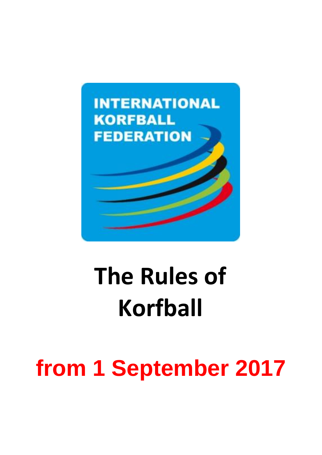

# **The Rules of Korfball**

## **from 1 September 2017**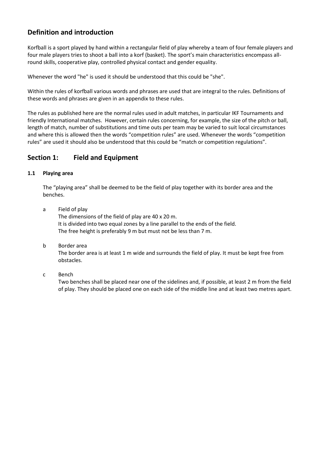## **Definition and introduction**

Korfball is a sport played by hand within a rectangular field of play whereby a team of four female players and four male players tries to shoot a ball into a korf (basket). The sport's main characteristics encompass allround skills, cooperative play, controlled physical contact and gender equality.

Whenever the word "he" is used it should be understood that this could be "she".

Within the rules of korfball various words and phrases are used that are integral to the rules. Definitions of these words and phrases are given in an appendix to these rules.

The rules as published here are the normal rules used in adult matches, in particular IKF Tournaments and friendly International matches. However, certain rules concerning, for example, the size of the pitch or ball, length of match, number of substitutions and time outs per team may be varied to suit local circumstances and where this is allowed then the words "competition rules" are used. Whenever the words "competition rules" are used it should also be understood that this could be "match or competition regulations".

## **Section 1: Field and Equipment**

#### **1.1 Playing area**

The "playing area" shall be deemed to be the field of play together with its border area and the benches.

- a Field of play The dimensions of the field of play are 40 x 20 m. It is divided into two equal zones by a line parallel to the ends of the field. The free height is preferably 9 m but must not be less than 7 m.
- b Border area

The border area is at least 1 m wide and surrounds the field of play. It must be kept free from obstacles.

#### c Bench

Two benches shall be placed near one of the sidelines and, if possible, at least 2 m from the field of play. They should be placed one on each side of the middle line and at least two metres apart.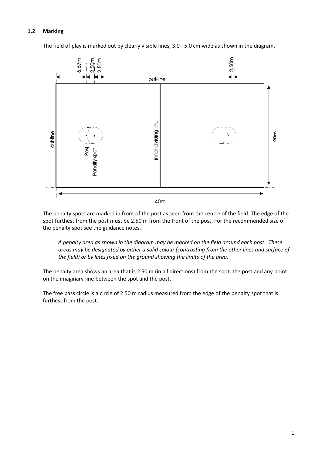#### **1.2 Marking**

The field of play is marked out by clearly visible lines, 3.0 - 5.0 cm wide as shown in the diagram.



The penalty spots are marked in front of the post as seen from the centre of the field. The edge of the spot furthest from the post must be 2.50 m from the front of the post. For the recommended size of the penalty spot see the guidance notes.

*A penalty area as shown in the diagram may be marked on the field around each post. These areas may be designated by either a solid colour (contrasting from the other lines and surface of the field) or by lines fixed on the ground showing the limits of the area.*

The penalty area shows an area that is 2.50 m (in all directions) from the spot, the post and any point on the imaginary line between the spot and the post.

The free pass circle is a circle of 2.50 m radius measured from the edge of the penalty spot that is furthest from the post.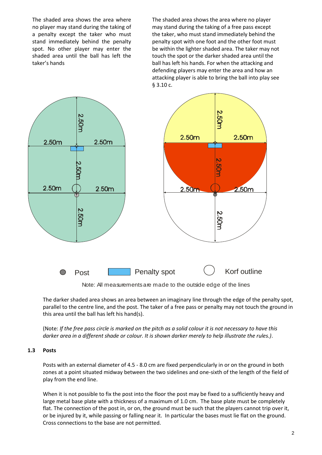The shaded area shows the area where no player may stand during the taking of a penalty except the taker who must stand immediately behind the penalty spot. No other player may enter the shaded area until the ball has left the taker's hands

The shaded area shows the area where no player may stand during the taking of a free pass except the taker, who must stand immediately behind the penalty spot with one foot and the other foot must be within the lighter shaded area. The taker may not touch the spot or the darker shaded area until the ball has left his hands. For when the attacking and defending players may enter the area and how an attacking player is able to bring the ball into play see § 3.10 c.



Note: All measurements are made to the outside edge of the lines

The darker shaded area shows an area between an imaginary line through the edge of the penalty spot, parallel to the centre line, and the post. The taker of a free pass or penalty may not touch the ground in this area until the ball has left his hand(s).

(Note: *If the free pass circle is marked on the pitch as a solid colour it is not necessary to have this darker area in a different shade or colour. It is shown darker merely to help illustrate the rules.)*.

#### **1.3 Posts**

Posts with an external diameter of 4.5 - 8.0 cm are fixed perpendicularly in or on the ground in both zones at a point situated midway between the two sidelines and one-sixth of the length of the field of play from the end line.

When it is not possible to fix the post into the floor the post may be fixed to a sufficiently heavy and large metal base plate with a thickness of a maximum of 1.0 cm. The base plate must be completely flat. The connection of the post in, or on, the ground must be such that the players cannot trip over it, or be injured by it, while passing or falling near it. In particular the bases must lie flat on the ground. Cross connections to the base are not permitted.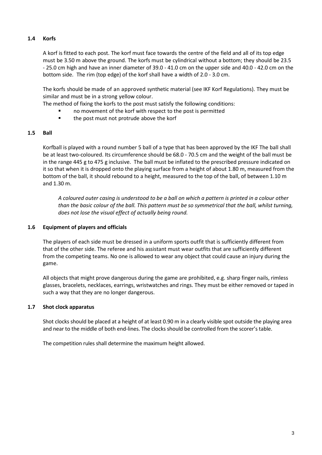#### **1.4 Korfs**

A korf is fitted to each post. The korf must face towards the centre of the field and all of its top edge must be 3.50 m above the ground. The korfs must be cylindrical without a bottom; they should be 23.5 - 25.0 cm high and have an inner diameter of 39.0 - 41.0 cm on the upper side and 40.0 - 42.0 cm on the bottom side. The rim (top edge) of the korf shall have a width of 2.0 - 3.0 cm.

The korfs should be made of an approved synthetic material (see IKF Korf Regulations). They must be similar and must be in a strong yellow colour.

The method of fixing the korfs to the post must satisfy the following conditions:

- no movement of the korf with respect to the post is permitted
	- **the post must not protrude above the korf**

#### **1.5 Ball**

Korfball is played with a round number 5 ball of a type that has been approved by the IKF The ball shall be at least two-coloured. Its circumference should be 68.0 - 70.5 cm and the weight of the ball must be in the range 445 g to 475 g inclusive. The ball must be inflated to the prescribed pressure indicated on it so that when it is dropped onto the playing surface from a height of about 1.80 m, measured from the bottom of the ball, it should rebound to a height, measured to the top of the ball, of between 1.10 m and 1.30 m.

*A coloured outer casing is understood to be a ball on which a pattern is printed in a colour other than the basic colour of the ball. This pattern must be so symmetrical that the ball, whilst turning, does not lose the visual effect of actually being round.*

#### **1.6 Equipment of players and officials**

The players of each side must be dressed in a uniform sports outfit that is sufficiently different from that of the other side. The referee and his assistant must wear outfits that are sufficiently different from the competing teams. No one is allowed to wear any object that could cause an injury during the game.

All objects that might prove dangerous during the game are prohibited, e.g. sharp finger nails, rimless glasses, bracelets, necklaces, earrings, wristwatches and rings. They must be either removed or taped in such a way that they are no longer dangerous.

#### **1.7 Shot clock apparatus**

Shot clocks should be placed at a height of at least 0.90 m in a clearly visible spot outside the playing area and near to the middle of both end-lines. The clocks should be controlled from the scorer's table.

The competition rules shall determine the maximum height allowed.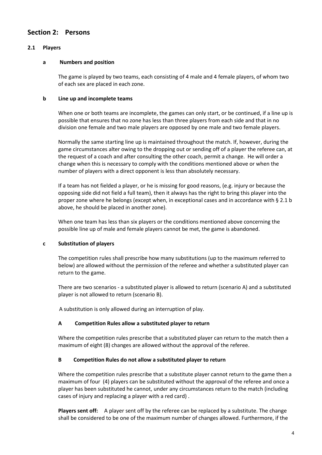### **Section 2: Persons**

#### **2.1 Players**

#### **a Numbers and position**

The game is played by two teams, each consisting of 4 male and 4 female players, of whom two of each sex are placed in each zone.

#### **b Line up and incomplete teams**

When one or both teams are incomplete, the games can only start, or be continued, if a line up is possible that ensures that no zone has less than three players from each side and that in no division one female and two male players are opposed by one male and two female players.

Normally the same starting line up is maintained throughout the match. If, however, during the game circumstances alter owing to the dropping out or sending off of a player the referee can, at the request of a coach and after consulting the other coach, permit a change. He will order a change when this is necessary to comply with the conditions mentioned above or when the number of players with a direct opponent is less than absolutely necessary.

If a team has not fielded a player, or he is missing for good reasons, (e.g. injury or because the opposing side did not field a full team), then it always has the right to bring this player into the proper zone where he belongs (except when, in exceptional cases and in accordance with § 2.1 b above, he should be placed in another zone).

When one team has less than six players or the conditions mentioned above concerning the possible line up of male and female players cannot be met, the game is abandoned.

#### **c Substitution of players**

The competition rules shall prescribe how many substitutions (up to the maximum referred to below) are allowed without the permission of the referee and whether a substituted player can return to the game.

There are two scenarios - a substituted player is allowed to return (scenario A) and a substituted player is not allowed to return (scenario B).

A substitution is only allowed during an interruption of play.

#### **A Competition Rules allow a substituted player to return**

Where the competition rules prescribe that a substituted player can return to the match then a maximum of eight (8) changes are allowed without the approval of the referee.

#### **B Competition Rules do not allow a substituted player to return**

Where the competition rules prescribe that a substitute player cannot return to the game then a maximum of four (4) players can be substituted without the approval of the referee and once a player has been substituted he cannot, under any circumstances return to the match (including cases of injury and replacing a player with a red card) .

**Players sent off:** A player sent off by the referee can be replaced by a substitute. The change shall be considered to be one of the maximum number of changes allowed. Furthermore, if the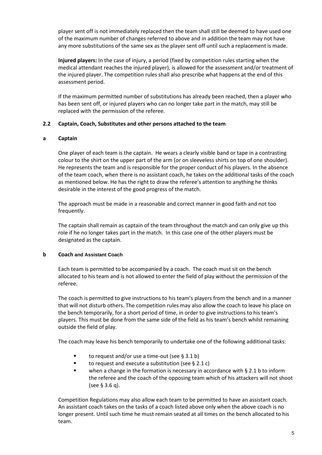player sent off is not immediately replaced then the team shall still be deemed to have used one of the maximum number of changes referred to above and in addition the team may not have any more substitutions of the same sex as the player sent off until such a replacement is made.

**Injured players:** In the case of injury, a period (fixed by competition rules starting when the medical attendant reaches the injured player), is allowed for the assessment and/or treatment of the injured player. The competition rules shall also prescribe what happens at the end of this assessment period.

If the maximum permitted number of substitutions has already been reached, then a player who has been sent off, or injured players who can no longer take part in the match, may still be replaced with the permission of the referee.

#### **2.2 Captain, Coach, Substitutes and other persons attached to the team**

#### **a Captain**

One player of each team is the captain. He wears a clearly visible band or tape in a contrasting colour to the shirt on the upper part of the arm (or on sleeveless shirts on top of one shoulder). He represents the team and is responsible for the proper conduct of his players. In the absence of the team coach, when there is no assistant coach, he takes on the additional tasks of the coach as mentioned below. He has the right to draw the referee's attention to anything he thinks desirable in the interest of the good progress of the match.

The approach must be made in a reasonable and correct manner in good faith and not too frequently.

The captain shall remain as captain of the team throughout the match and can only give up this role if he no longer takes part in the match. In this case one of the other players must be designated as the captain.

#### **b Coach and Assistant Coach**

Each team is permitted to be accompanied by a coach. The coach must sit on the bench allocated to his team and is not allowed to enter the field of play without the permission of the referee.

The coach is permitted to give instructions to his team's players from the bench and in a manner that will not disturb others. The competition rules may also allow the coach to leave his place on the bench temporarily, for a short period of time, in order to give instructions to his team's players. This must be done from the same side of the field as his team's bench whilst remaining outside the field of play.

The coach may leave his bench temporarily to undertake one of the following additional tasks:

- to request and/or use a time-out (see § 3.1 b)
- $\blacksquare$  to request and execute a substitution (see § 2.1 c)
- when a change in the formation is necessary in accordance with § 2.1 b to inform the referee and the coach of the opposing team which of his attackers will not shoot (see § 3.6 q).

Competition Regulations may also allow each team to be permitted to have an assistant coach. An assistant coach takes on the tasks of a coach listed above only when the above coach is no longer present. Until such time he must remain seated at all times on the bench allocated to his team.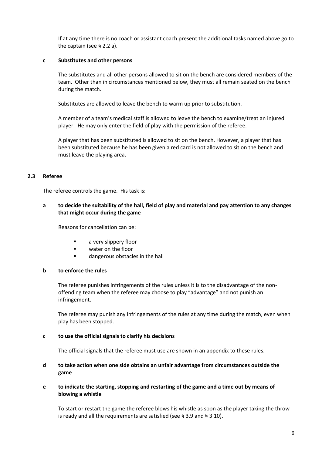If at any time there is no coach or assistant coach present the additional tasks named above go to the captain (see § 2.2 a).

#### **c Substitutes and other persons**

The substitutes and all other persons allowed to sit on the bench are considered members of the team. Other than in circumstances mentioned below, they must all remain seated on the bench during the match.

Substitutes are allowed to leave the bench to warm up prior to substitution.

A member of a team's medical staff is allowed to leave the bench to examine/treat an injured player. He may only enter the field of play with the permission of the referee.

A player that has been substituted is allowed to sit on the bench. However, a player that has been substituted because he has been given a red card is not allowed to sit on the bench and must leave the playing area.

#### **2.3 Referee**

The referee controls the game. His task is:

#### **a to decide the suitability of the hall, field of play and material and pay attention to any changes that might occur during the game**

Reasons for cancellation can be:

- **a** very slippery floor
- water on the floor
- **Example 1** dangerous obstacles in the hall

#### **b to enforce the rules**

The referee punishes infringements of the rules unless it is to the disadvantage of the nonoffending team when the referee may choose to play "advantage" and not punish an infringement.

The referee may punish any infringements of the rules at any time during the match, even when play has been stopped.

#### **c to use the official signals to clarify his decisions**

The official signals that the referee must use are shown in an appendix to these rules.

#### **d to take action when one side obtains an unfair advantage from circumstances outside the game**

**e to indicate the starting, stopping and restarting of the game and a time out by means of blowing a whistle**

To start or restart the game the referee blows his whistle as soon as the player taking the throw is ready and all the requirements are satisfied (see § 3.9 and § 3.10).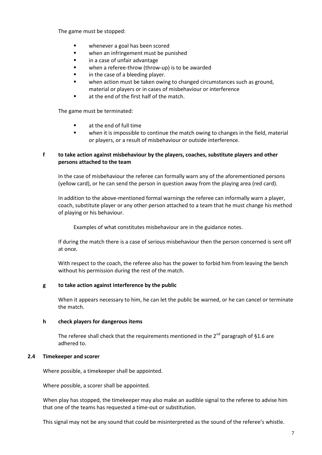The game must be stopped:

- whenever a goal has been scored
- **•** when an infringement must be punished
- in a case of unfair advantage
- **•** when a referee-throw (throw-up) is to be awarded
- **If** in the case of a bleeding player.
- when action must be taken owing to changed circumstances such as ground, material or players or in cases of misbehaviour or interference
- **a** at the end of the first half of the match.

The game must be terminated:

- **E** at the end of full time
- **•** when it is impossible to continue the match owing to changes in the field, material or players, or a result of misbehaviour or outside interference.

#### **f to take action against misbehaviour by the players, coaches, substitute players and other persons attached to the team**

In the case of misbehaviour the referee can formally warn any of the aforementioned persons (yellow card), or he can send the person in question away from the playing area (red card).

In addition to the above-mentioned formal warnings the referee can informally warn a player, coach, substitute player or any other person attached to a team that he must change his method of playing or his behaviour.

Examples of what constitutes misbehaviour are in the guidance notes.

If during the match there is a case of serious misbehaviour then the person concerned is sent off at once.

With respect to the coach, the referee also has the power to forbid him from leaving the bench without his permission during the rest of the match.

#### **g to take action against interference by the public**

When it appears necessary to him, he can let the public be warned, or he can cancel or terminate the match.

#### **h check players for dangerous items**

The referee shall check that the requirements mentioned in the  $2^{nd}$  paragraph of §1.6 are adhered to.

#### **2.4 Timekeeper and scorer**

Where possible, a timekeeper shall be appointed.

Where possible, a scorer shall be appointed.

When play has stopped, the timekeeper may also make an audible signal to the referee to advise him that one of the teams has requested a time-out or substitution.

This signal may not be any sound that could be misinterpreted as the sound of the referee's whistle.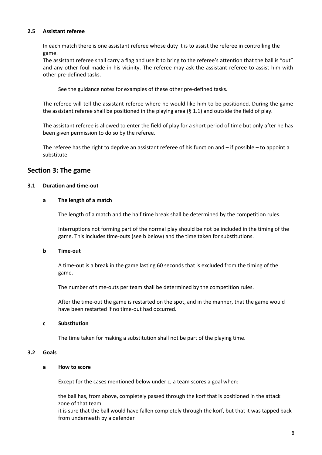#### **2.5 Assistant referee**

In each match there is one assistant referee whose duty it is to assist the referee in controlling the game.

The assistant referee shall carry a flag and use it to bring to the referee's attention that the ball is "out" and any other foul made in his vicinity. The referee may ask the assistant referee to assist him with other pre-defined tasks.

See the guidance notes for examples of these other pre-defined tasks.

The referee will tell the assistant referee where he would like him to be positioned. During the game the assistant referee shall be positioned in the playing area (§ 1.1) and outside the field of play.

The assistant referee is allowed to enter the field of play for a short period of time but only after he has been given permission to do so by the referee.

The referee has the right to deprive an assistant referee of his function and – if possible – to appoint a substitute.

#### **Section 3: The game**

#### **3.1 Duration and time-out**

#### **a The length of a match**

The length of a match and the half time break shall be determined by the competition rules.

Interruptions not forming part of the normal play should be not be included in the timing of the game. This includes time‐outs (see b below) and the time taken for substitutions.

#### **b Time-out**

A time‐out is a break in the game lasting 60 seconds that is excluded from the timing of the game.

The number of time-outs per team shall be determined by the competition rules.

After the time-out the game is restarted on the spot, and in the manner, that the game would have been restarted if no time-out had occurred.

#### **c Substitution**

The time taken for making a substitution shall not be part of the playing time.

#### **3.2 Goals**

#### **a How to score**

Except for the cases mentioned below under c, a team scores a goal when:

the ball has, from above, completely passed through the korf that is positioned in the attack zone of that team

it is sure that the ball would have fallen completely through the korf, but that it was tapped back from underneath by a defender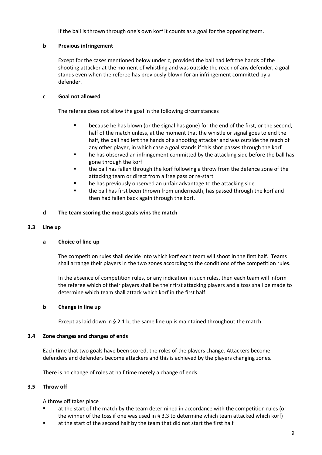If the ball is thrown through one's own korf it counts as a goal for the opposing team.

#### **b Previous infringement**

Except for the cases mentioned below under c, provided the ball had left the hands of the shooting attacker at the moment of whistling and was outside the reach of any defender, a goal stands even when the referee has previously blown for an infringement committed by a defender.

#### **c Goal not allowed**

The referee does not allow the goal in the following circumstances

- **EXEC** because he has blown (or the signal has gone) for the end of the first, or the second, half of the match unless, at the moment that the whistle or signal goes to end the half, the ball had left the hands of a shooting attacker and was outside the reach of any other player, in which case a goal stands if this shot passes through the korf
- he has observed an infringement committed by the attacking side before the ball has gone through the korf
- the ball has fallen through the korf following a throw from the defence zone of the attacking team or direct from a free pass or re-start
- **he has previously observed an unfair advantage to the attacking side**
- **the ball has first been thrown from underneath, has passed through the korf and** then had fallen back again through the korf.

#### **d The team scoring the most goals wins the match**

#### **3.3 Line up**

#### **a Choice of line up**

The competition rules shall decide into which korf each team will shoot in the first half. Teams shall arrange their players in the two zones according to the conditions of the competition rules.

In the absence of competition rules, or any indication in such rules, then each team will inform the referee which of their players shall be their first attacking players and a toss shall be made to determine which team shall attack which korf in the first half.

#### **b Change in line up**

Except as laid down in § 2.1 b, the same line up is maintained throughout the match.

#### **3.4 Zone changes and changes of ends**

Each time that two goals have been scored, the roles of the players change. Attackers become defenders and defenders become attackers and this is achieved by the players changing zones.

There is no change of roles at half time merely a change of ends.

#### **3.5 Throw off**

A throw off takes place

- at the start of the match by the team determined in accordance with the competition rules (or the winner of the toss if one was used in § 3.3 to determine which team attacked which korf)
- at the start of the second half by the team that did not start the first half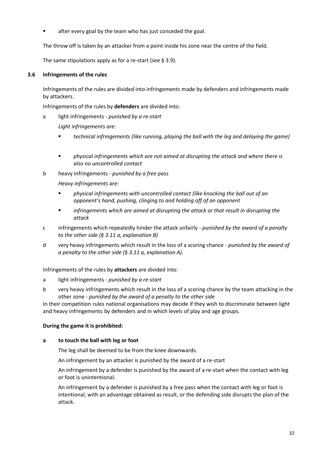after every goal by the team who has just conceded the goal.

The throw off is taken by an attacker from a point inside his zone near the centre of the field.

The same stipulations apply as for a re-start (see § 3.9).

#### **3.6 Infringements of the rules**

Infringements of the rules are divided into infringements made by defenders and infringements made by attackers.

Infringements of the rules by **defenders** are divided into:

a light infringements - *punished by a re-start*

*Light infringements are:*

- *technical infringements (like running, playing the ball with the leg and delaying the game)*
- *physical infringements which are not aimed at disrupting the attack and where there is also no uncontrolled contact*
- b heavy infringements *punished by a free pass*
	- *Heavy infringements are:*
	- *physical infringements with uncontrolled contact (like knocking the ball out of an opponent's hand, pushing, clinging to and holding off of an opponent*
	- *infringements which are aimed at disrupting the attack or that result in disrupting the attack*
- c infringements which repeatedly hinder the attack unfairly *punished by the award of a penalty to the other side (§ 3.11 a, explanation B)*
- d very heavy infringements which result in the loss of a scoring chance *punished by the award of a penalty to the other side (§ 3.11 a, explanation A).*

#### Infringements of the rules by **attackers** are divided into:

- a light infringements *punished by a re-start*
- b very heavy infringements which result in the loss of a scoring chance by the team attacking in the other zone - *punished by the award of a penalty to the other side*

In their competition rules national organisations may decide if they wish to discriminate between light and heavy infringements by defenders and in which levels of play and age groups.

#### **During the game it is prohibited:**

#### **a to touch the ball with leg or foot**

The leg shall be deemed to be from the knee downwards.

An infringement by an attacker is punished by the award of a re-start

An infringement by a defender is punished by the award of a re-start when the contact with leg or foot is unintentional.

An infringement by a defender is punished by a free pass when the contact with leg or foot is intentional, with an advantage obtained as result, or the defending side disrupts the plan of the attack.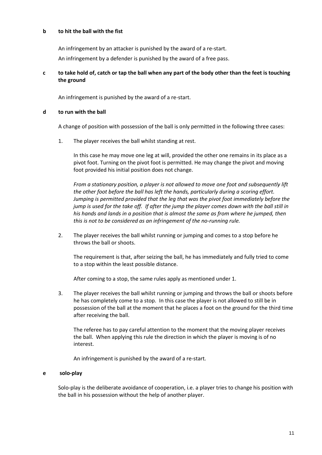#### **b to hit the ball with the fist**

An infringement by an attacker is punished by the award of a re-start.

An infringement by a defender is punished by the award of a free pass.

#### **c to take hold of, catch or tap the ball when any part of the body other than the feet is touching the ground**

An infringement is punished by the award of a re-start.

#### **d to run with the ball**

A change of position with possession of the ball is only permitted in the following three cases:

1. The player receives the ball whilst standing at rest.

In this case he may move one leg at will, provided the other one remains in its place as a pivot foot. Turning on the pivot foot is permitted. He may change the pivot and moving foot provided his initial position does not change.

*From a stationary position, a player is not allowed to move one foot and subsequently lift the other foot before the ball has left the hands, particularly during a scoring effort. Jumping is permitted provided that the leg that was the pivot foot immediately before the jump is used for the take off. If after the jump the player comes down with the ball still in his hands and lands in a position that is almost the same as from where he jumped, then this is not to be considered as an infringement of the no-running rule.* 

2. The player receives the ball whilst running or jumping and comes to a stop before he throws the ball or shoots.

The requirement is that, after seizing the ball, he has immediately and fully tried to come to a stop within the least possible distance.

After coming to a stop, the same rules apply as mentioned under 1.

3. The player receives the ball whilst running or jumping and throws the ball or shoots before he has completely come to a stop. In this case the player is not allowed to still be in possession of the ball at the moment that he places a foot on the ground for the third time after receiving the ball.

The referee has to pay careful attention to the moment that the moving player receives the ball. When applying this rule the direction in which the player is moving is of no interest.

An infringement is punished by the award of a re-start.

#### **e solo-play**

Solo-play is the deliberate avoidance of cooperation, i.e. a player tries to change his position with the ball in his possession without the help of another player.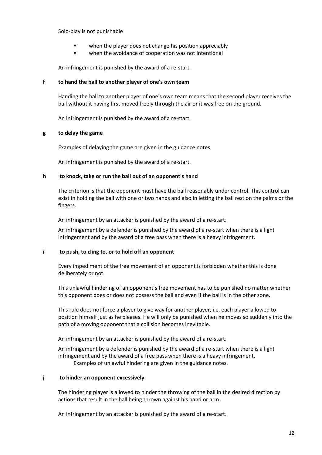Solo-play is not punishable

- when the player does not change his position appreciably
- **•** when the avoidance of cooperation was not intentional

An infringement is punished by the award of a re-start.

#### **f to hand the ball to another player of one's own team**

Handing the ball to another player of one's own team means that the second player receives the ball without it having first moved freely through the air or it was free on the ground.

An infringement is punished by the award of a re-start.

#### **g to delay the game**

Examples of delaying the game are given in the guidance notes.

An infringement is punished by the award of a re-start.

#### **h to knock, take or run the ball out of an opponent's hand**

The criterion is that the opponent must have the ball reasonably under control. This control can exist in holding the ball with one or two hands and also in letting the ball rest on the palms or the fingers.

An infringement by an attacker is punished by the award of a re-start.

An infringement by a defender is punished by the award of a re-start when there is a light infringement and by the award of a free pass when there is a heavy infringement.

#### **i to push, to cling to, or to hold off an opponent**

Every impediment of the free movement of an opponent is forbidden whether this is done deliberately or not.

This unlawful hindering of an opponent's free movement has to be punished no matter whether this opponent does or does not possess the ball and even if the ball is in the other zone.

This rule does not force a player to give way for another player, i.e. each player allowed to position himself just as he pleases. He will only be punished when he moves so suddenly into the path of a moving opponent that a collision becomes inevitable.

An infringement by an attacker is punished by the award of a re-start.

An infringement by a defender is punished by the award of a re-start when there is a light infringement and by the award of a free pass when there is a heavy infringement. Examples of unlawful hindering are given in the guidance notes.

#### **j to hinder an opponent excessively**

The hindering player is allowed to hinder the throwing of the ball in the desired direction by actions that result in the ball being thrown against his hand or arm.

An infringement by an attacker is punished by the award of a re-start.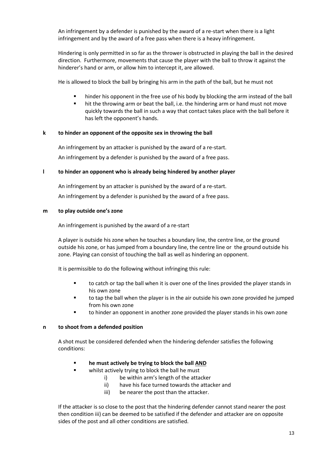An infringement by a defender is punished by the award of a re-start when there is a light infringement and by the award of a free pass when there is a heavy infringement.

Hindering is only permitted in so far as the thrower is obstructed in playing the ball in the desired direction. Furthermore, movements that cause the player with the ball to throw it against the hinderer's hand or arm, or allow him to intercept it, are allowed.

He is allowed to block the ball by bringing his arm in the path of the ball, but he must not

- **•** hinder his opponent in the free use of his body by blocking the arm instead of the ball
- hit the throwing arm or beat the ball, i.e. the hindering arm or hand must not move quickly towards the ball in such a way that contact takes place with the ball before it has left the opponent's hands.

#### **k to hinder an opponent of the opposite sex in throwing the ball**

An infringement by an attacker is punished by the award of a re-start. An infringement by a defender is punished by the award of a free pass.

#### **l to hinder an opponent who is already being hindered by another player**

An infringement by an attacker is punished by the award of a re-start. An infringement by a defender is punished by the award of a free pass.

#### **m to play outside one's zone**

An infringement is punished by the award of a re-start

A player is outside his zone when he touches a boundary line, the centre line, or the ground outside his zone, or has jumped from a boundary line, the centre line or the ground outside his zone. Playing can consist of touching the ball as well as hindering an opponent.

It is permissible to do the following without infringing this rule:

- to catch or tap the ball when it is over one of the lines provided the player stands in his own zone
- **thana** to tap the ball when the player is in the air outside his own zone provided he jumped from his own zone
- to hinder an opponent in another zone provided the player stands in his own zone

#### **n to shoot from a defended position**

A shot must be considered defended when the hindering defender satisfies the following conditions:

#### **he must actively be trying to block the ball AND**

- whilst actively trying to block the ball he must
	- i) be within arm's length of the attacker
	- ii) have his face turned towards the attacker and
	- iii) be nearer the post than the attacker.

If the attacker is so close to the post that the hindering defender cannot stand nearer the post then condition iii) can be deemed to be satisfied if the defender and attacker are on opposite sides of the post and all other conditions are satisfied.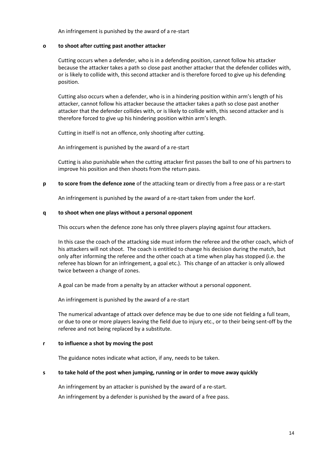An infringement is punished by the award of a re-start

#### **o to shoot after cutting past another attacker**

Cutting occurs when a defender, who is in a defending position, cannot follow his attacker because the attacker takes a path so close past another attacker that the defender collides with, or is likely to collide with, this second attacker and is therefore forced to give up his defending position.

Cutting also occurs when a defender, who is in a hindering position within arm's length of his attacker, cannot follow his attacker because the attacker takes a path so close past another attacker that the defender collides with, or is likely to collide with, this second attacker and is therefore forced to give up his hindering position within arm's length.

Cutting in itself is not an offence, only shooting after cutting.

An infringement is punished by the award of a re-start

Cutting is also punishable when the cutting attacker first passes the ball to one of his partners to improve his position and then shoots from the return pass.

**p to score from the defence zone** of the attacking team or directly from a free pass or a re-start

An infringement is punished by the award of a re-start taken from under the korf.

#### **q to shoot when one plays without a personal opponent**

This occurs when the defence zone has only three players playing against four attackers.

In this case the coach of the attacking side must inform the referee and the other coach, which of his attackers will not shoot. The coach is entitled to change his decision during the match, but only after informing the referee and the other coach at a time when play has stopped (i.e. the referee has blown for an infringement, a goal etc.). This change of an attacker is only allowed twice between a change of zones.

A goal can be made from a penalty by an attacker without a personal opponent.

An infringement is punished by the award of a re-start

The numerical advantage of attack over defence may be due to one side not fielding a full team, or due to one or more players leaving the field due to injury etc., or to their being sent-off by the referee and not being replaced by a substitute.

#### **r to influence a shot by moving the post**

The guidance notes indicate what action, if any, needs to be taken.

#### **s to take hold of the post when jumping, running or in order to move away quickly**

An infringement by an attacker is punished by the award of a re-start.

An infringement by a defender is punished by the award of a free pass.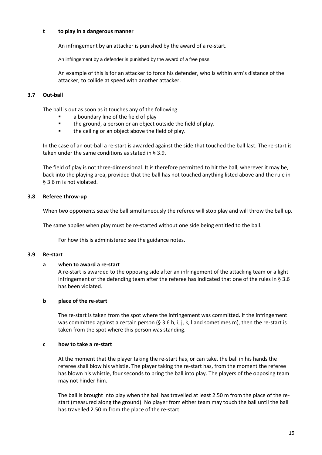#### **t to play in a dangerous manner**

An infringement by an attacker is punished by the award of a re-start.

An infringement by a defender is punished by the award of a free pass.

An example of this is for an attacker to force his defender, who is within arm's distance of the attacker, to collide at speed with another attacker.

#### **3.7 Out-ball**

The ball is out as soon as it touches any of the following

- a boundary line of the field of play
- **the ground, a person or an object outside the field of play.**
- **the ceiling or an object above the field of play.**

In the case of an out-ball a re-start is awarded against the side that touched the ball last. The re-start is taken under the same conditions as stated in § 3.9.

The field of play is not three-dimensional. It is therefore permitted to hit the ball, wherever it may be, back into the playing area, provided that the ball has not touched anything listed above and the rule in § 3.6 m is not violated.

#### **3.8 Referee throw-up**

When two opponents seize the ball simultaneously the referee will stop play and will throw the ball up.

The same applies when play must be re-started without one side being entitled to the ball.

For how this is administered see the guidance notes.

#### **3.9 Re-start**

#### **a when to award a re-start**

A re-start is awarded to the opposing side after an infringement of the attacking team or a light infringement of the defending team after the referee has indicated that one of the rules in § 3.6 has been violated.

#### **b place of the re-start**

The re-start is taken from the spot where the infringement was committed. If the infringement was committed against a certain person (§ 3.6 h, i, j, k, I and sometimes m), then the re-start is taken from the spot where this person was standing.

#### **c how to take a re-start**

At the moment that the player taking the re-start has, or can take, the ball in his hands the referee shall blow his whistle. The player taking the re-start has, from the moment the referee has blown his whistle, four seconds to bring the ball into play. The players of the opposing team may not hinder him.

The ball is brought into play when the ball has travelled at least 2.50 m from the place of the restart (measured along the ground). No player from either team may touch the ball until the ball has travelled 2.50 m from the place of the re-start.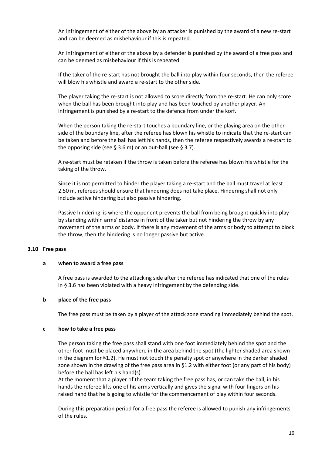An infringement of either of the above by an attacker is punished by the award of a new re-start and can be deemed as misbehaviour if this is repeated.

An infringement of either of the above by a defender is punished by the award of a free pass and can be deemed as misbehaviour if this is repeated.

If the taker of the re-start has not brought the ball into play within four seconds, then the referee will blow his whistle and award a re-start to the other side.

The player taking the re-start is not allowed to score directly from the re-start. He can only score when the ball has been brought into play and has been touched by another player. An infringement is punished by a re-start to the defence from under the korf.

When the person taking the re-start touches a boundary line, or the playing area on the other side of the boundary line, after the referee has blown his whistle to indicate that the re-start can be taken and before the ball has left his hands, then the referee respectively awards a re-start to the opposing side (see § 3.6 m) or an out-ball (see § 3.7).

A re-start must be retaken if the throw is taken before the referee has blown his whistle for the taking of the throw.

Since it is not permitted to hinder the player taking a re-start and the ball must travel at least 2.50 m, referees should ensure that hindering does not take place. Hindering shall not only include active hindering but also passive hindering.

Passive hindering is where the opponent prevents the ball from being brought quickly into play by standing within arms' distance in front of the taker but not hindering the throw by any movement of the arms or body. If there is any movement of the arms or body to attempt to block the throw, then the hindering is no longer passive but active.

#### **3.10 Free pass**

#### **a when to award a free pass**

A free pass is awarded to the attacking side after the referee has indicated that one of the rules in § 3.6 has been violated with a heavy infringement by the defending side.

#### **b place of the free pass**

The free pass must be taken by a player of the attack zone standing immediately behind the spot.

#### **c how to take a free pass**

The person taking the free pass shall stand with one foot immediately behind the spot and the other foot must be placed anywhere in the area behind the spot (the lighter shaded area shown in the diagram for §1.2). He must not touch the penalty spot or anywhere in the darker shaded zone shown in the drawing of the free pass area in §1.2 with either foot (or any part of his body) before the ball has left his hand(s).

At the moment that a player of the team taking the free pass has, or can take the ball, in his hands the referee lifts one of his arms vertically and gives the signal with four fingers on his raised hand that he is going to whistle for the commencement of play within four seconds.

During this preparation period for a free pass the referee is allowed to punish any infringements of the rules.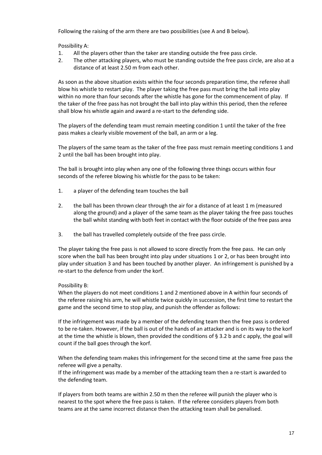Following the raising of the arm there are two possibilities (see A and B below).

Possibility A:

- 1. All the players other than the taker are standing outside the free pass circle.
- 2. The other attacking players, who must be standing outside the free pass circle, are also at a distance of at least 2.50 m from each other.

As soon as the above situation exists within the four seconds preparation time, the referee shall blow his whistle to restart play. The player taking the free pass must bring the ball into play within no more than four seconds after the whistle has gone for the commencement of play. If the taker of the free pass has not brought the ball into play within this period, then the referee shall blow his whistle again and award a re-start to the defending side.

The players of the defending team must remain meeting condition 1 until the taker of the free pass makes a clearly visible movement of the ball, an arm or a leg.

The players of the same team as the taker of the free pass must remain meeting conditions 1 and 2 until the ball has been brought into play.

The ball is brought into play when any one of the following three things occurs within four seconds of the referee blowing his whistle for the pass to be taken:

- 1. a player of the defending team touches the ball
- 2. the ball has been thrown clear through the air for a distance of at least 1 m (measured along the ground) and a player of the same team as the player taking the free pass touches the ball whilst standing with both feet in contact with the floor outside of the free pass area
- 3. the ball has travelled completely outside of the free pass circle.

The player taking the free pass is not allowed to score directly from the free pass. He can only score when the ball has been brought into play under situations 1 or 2, or has been brought into play under situation 3 and has been touched by another player. An infringement is punished by a re-start to the defence from under the korf.

#### Possibility B:

When the players do not meet conditions 1 and 2 mentioned above in A within four seconds of the referee raising his arm, he will whistle twice quickly in succession, the first time to restart the game and the second time to stop play, and punish the offender as follows:

If the infringement was made by a member of the defending team then the free pass is ordered to be re-taken. However, if the ball is out of the hands of an attacker and is on its way to the korf at the time the whistle is blown, then provided the conditions of § 3.2 b and c apply, the goal will count if the ball goes through the korf.

When the defending team makes this infringement for the second time at the same free pass the referee will give a penalty.

If the infringement was made by a member of the attacking team then a re-start is awarded to the defending team.

If players from both teams are within 2.50 m then the referee will punish the player who is nearest to the spot where the free pass is taken. If the referee considers players from both teams are at the same incorrect distance then the attacking team shall be penalised.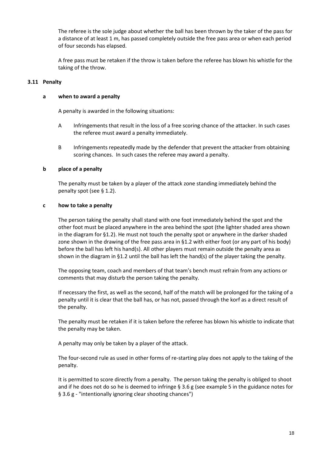The referee is the sole judge about whether the ball has been thrown by the taker of the pass for a distance of at least 1 m, has passed completely outside the free pass area or when each period of four seconds has elapsed.

A free pass must be retaken if the throw is taken before the referee has blown his whistle for the taking of the throw.

#### **3.11 Penalty**

#### **a when to award a penalty**

A penalty is awarded in the following situations:

- A Infringements that result in the loss of a free scoring chance of the attacker. In such cases the referee must award a penalty immediately.
- B Infringements repeatedly made by the defender that prevent the attacker from obtaining scoring chances. In such cases the referee may award a penalty.

#### **b place of a penalty**

The penalty must be taken by a player of the attack zone standing immediately behind the penalty spot (see § 1.2).

#### **c how to take a penalty**

The person taking the penalty shall stand with one foot immediately behind the spot and the other foot must be placed anywhere in the area behind the spot (the lighter shaded area shown in the diagram for §1.2). He must not touch the penalty spot or anywhere in the darker shaded zone shown in the drawing of the free pass area in §1.2 with either foot (or any part of his body) before the ball has left his hand(s). All other players must remain outside the penalty area as shown in the diagram in §1.2 until the ball has left the hand(s) of the player taking the penalty.

The opposing team, coach and members of that team's bench must refrain from any actions or comments that may disturb the person taking the penalty.

If necessary the first, as well as the second, half of the match will be prolonged for the taking of a penalty until it is clear that the ball has, or has not, passed through the korf as a direct result of the penalty.

The penalty must be retaken if it is taken before the referee has blown his whistle to indicate that the penalty may be taken.

A penalty may only be taken by a player of the attack.

The four-second rule as used in other forms of re-starting play does not apply to the taking of the penalty.

It is permitted to score directly from a penalty. The person taking the penalty is obliged to shoot and if he does not do so he is deemed to infringe § 3.6 g (see example 5 in the guidance notes for § 3.6 g - "intentionally ignoring clear shooting chances")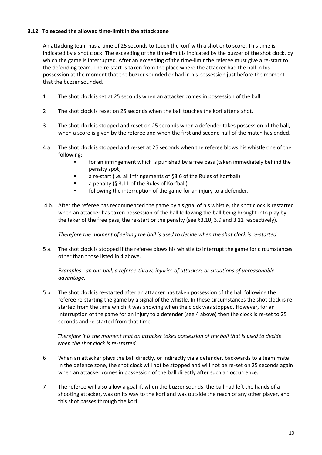#### **3.12** T**o exceed the allowed time-limit in the attack zone**

An attacking team has a time of 25 seconds to touch the korf with a shot or to score. This time is indicated by a shot clock. The exceeding of the time-limit is indicated by the buzzer of the shot clock, by which the game is interrupted. After an exceeding of the time-limit the referee must give a re-start to the defending team. The re-start is taken from the place where the attacker had the ball in his possession at the moment that the buzzer sounded or had in his possession just before the moment that the buzzer sounded.

- 1 The shot clock is set at 25 seconds when an attacker comes in possession of the ball.
- 2 The shot clock is reset on 25 seconds when the ball touches the korf after a shot.
- 3 The shot clock is stopped and reset on 25 seconds when a defender takes possession of the ball, when a score is given by the referee and when the first and second half of the match has ended.
- 4 a. The shot clock is stopped and re-set at 25 seconds when the referee blows his whistle one of the following:
	- for an infringement which is punished by a free pass (taken immediately behind the penalty spot)
	- a re-start (i.e. all infringements of §3.6 of the Rules of Korfball)
	- a penalty (§ 3.11 of the Rules of Korfball)
	- **Fig.** following the interruption of the game for an injury to a defender.
- 4 b. After the referee has recommenced the game by a signal of his whistle, the shot clock is restarted when an attacker has taken possession of the ball following the ball being brought into play by the taker of the free pass, the re-start or the penalty (see §3.10, 3.9 and 3.11 respectively).

*Therefore the moment of seizing the ball is used to decide when the shot clock is re-started.*

5 a. The shot clock is stopped if the referee blows his whistle to interrupt the game for circumstances other than those listed in 4 above.

*Examples - an out-ball, a referee-throw, injuries of attackers or situations of unreasonable advantage.*

5 b. The shot clock is re-started after an attacker has taken possession of the ball following the referee re-starting the game by a signal of the whistle. In these circumstances the shot clock is restarted from the time which it was showing when the clock was stopped. However, for an interruption of the game for an injury to a defender (see 4 above) then the clock is re-set to 25 seconds and re-started from that time.

#### *Therefore it is the moment that an attacker takes possession of the ball that is used to decide when the shot clock is re-started.*

- 6 When an attacker plays the ball directly, or indirectly via a defender, backwards to a team mate in the defence zone, the shot clock will not be stopped and will not be re-set on 25 seconds again when an attacker comes in possession of the ball directly after such an occurrence.
- 7 The referee will also allow a goal if, when the buzzer sounds, the ball had left the hands of a shooting attacker, was on its way to the korf and was outside the reach of any other player, and this shot passes through the korf.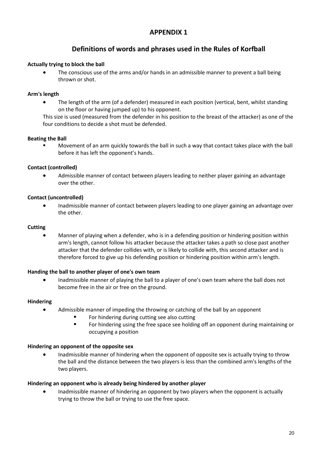## **APPENDIX 1**

## **Definitions of words and phrases used in the Rules of Korfball**

#### **Actually trying to block the ball**

 The conscious use of the arms and/or hands in an admissible manner to prevent a ball being thrown or shot.

#### **Arm's length**

• The length of the arm (of a defender) measured in each position (vertical, bent, whilst standing on the floor or having jumped up) to his opponent.

This size is used (measured from the defender in his position to the breast of the attacker) as one of the four conditions to decide a shot must be defended.

#### **Beating the Ball**

 Movement of an arm quickly towards the ball in such a way that contact takes place with the ball before it has left the opponent's hands.

#### **Contact (controlled)**

 Admissible manner of contact between players leading to neither player gaining an advantage over the other.

#### **Contact (uncontrolled)**

 Inadmissible manner of contact between players leading to one player gaining an advantage over the other.

#### **Cutting**

 Manner of playing when a defender, who is in a defending position or hindering position within arm's length, cannot follow his attacker because the attacker takes a path so close past another attacker that the defender collides with, or is likely to collide with, this second attacker and is therefore forced to give up his defending position or hindering position within arm's length.

#### **Handing the ball to another player of one's own team**

• Inadmissible manner of playing the ball to a player of one's own team where the ball does not become free in the air or free on the ground.

#### **Hindering**

- Admissible manner of impeding the throwing or catching of the ball by an opponent
	- For hindering during cutting see also cutting
	- For hindering using the free space see holding off an opponent during maintaining or occupying a position

#### **Hindering an opponent of the opposite sex**

 Inadmissible manner of hindering when the opponent of opposite sex is actually trying to throw the ball and the distance between the two players is less than the combined arm's lengths of the two players.

#### **Hindering an opponent who is already being hindered by another player**

 Inadmissible manner of hindering an opponent by two players when the opponent is actually trying to throw the ball or trying to use the free space.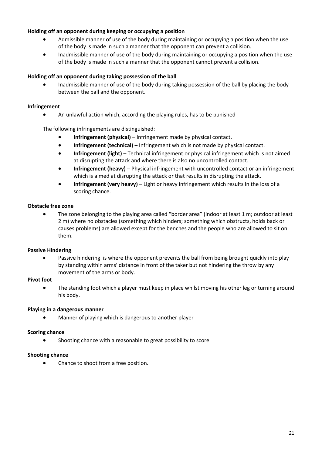#### **Holding off an opponent during keeping or occupying a position**

- Admissible manner of use of the body during maintaining or occupying a position when the use of the body is made in such a manner that the opponent can prevent a collision.
- Inadmissible manner of use of the body during maintaining or occupying a position when the use of the body is made in such a manner that the opponent cannot prevent a collision.

#### **Holding off an opponent during taking possession of the ball**

 Inadmissible manner of use of the body during taking possession of the ball by placing the body between the ball and the opponent.

#### **Infringement**

An unlawful action which, according the playing rules, has to be punished

The following infringements are distinguished:

- **Infringement (physical)** Infringement made by physical contact.
- **Infringement (technical)** Infringement which is not made by physical contact.
- **Infringement (light)** Technical infringement or physical infringement which is not aimed at disrupting the attack and where there is also no uncontrolled contact.
- **Infringement (heavy)** Physical infringement with uncontrolled contact or an infringement which is aimed at disrupting the attack or that results in disrupting the attack.
- **Infringement (very heavy)** Light or heavy infringement which results in the loss of a scoring chance.

#### **Obstacle free zone**

 The zone belonging to the playing area called "border area" (indoor at least 1 m; outdoor at least 2 m) where no obstacles (something which hinders; something which obstructs, holds back or causes problems) are allowed except for the benches and the people who are allowed to sit on them.

#### **Passive Hindering**

 Passive hindering is where the opponent prevents the ball from being brought quickly into play by standing within arms' distance in front of the taker but not hindering the throw by any movement of the arms or body.

#### **Pivot foot**

• The standing foot which a player must keep in place whilst moving his other leg or turning around his body.

#### **Playing in a dangerous manner**

Manner of playing which is dangerous to another player

#### **Scoring chance**

• Shooting chance with a reasonable to great possibility to score.

#### **Shooting chance**

• Chance to shoot from a free position.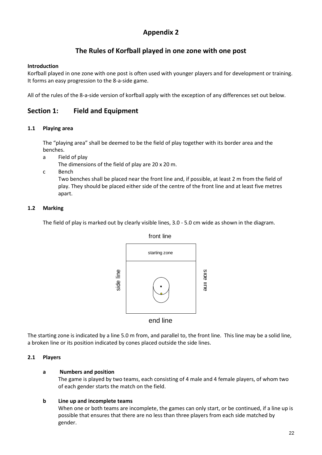## **Appendix 2**

## **The Rules of Korfball played in one zone with one post**

#### **Introduction**

Korfball played in one zone with one post is often used with younger players and for development or training. It forms an easy progression to the 8-a-side game.

All of the rules of the 8-a-side version of korfball apply with the exception of any differences set out below.

## **Section 1: Field and Equipment**

#### **1.1 Playing area**

The "playing area" shall be deemed to be the field of play together with its border area and the benches.

a Field of play

The dimensions of the field of play are 20 x 20 m.

c Bench

Two benches shall be placed near the front line and, if possible, at least 2 m from the field of play. They should be placed either side of the centre of the front line and at least five metres apart.

#### **1.2 Marking**

The field of play is marked out by clearly visible lines, 3.0 - 5.0 cm wide as shown in the diagram.



The starting zone is indicated by a line 5.0 m from, and parallel to, the front line. This line may be a solid line, a broken line or its position indicated by cones placed outside the side lines.

#### **2.1 Players**

#### **a Numbers and position**

The game is played by two teams, each consisting of 4 male and 4 female players, of whom two of each gender starts the match on the field.

#### **b Line up and incomplete teams**

When one or both teams are incomplete, the games can only start, or be continued, if a line up is possible that ensures that there are no less than three players from each side matched by gender.

front line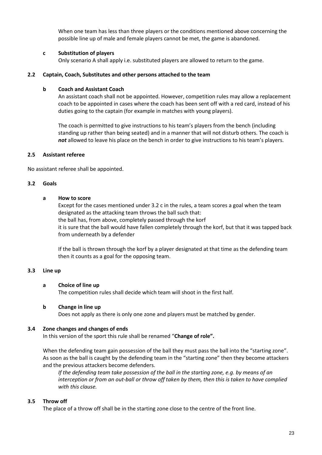When one team has less than three players or the conditions mentioned above concerning the possible line up of male and female players cannot be met, the game is abandoned.

#### **c Substitution of players**

Only scenario A shall apply i.e. substituted players are allowed to return to the game.

#### **2.2 Captain, Coach, Substitutes and other persons attached to the team**

#### **b Coach and Assistant Coach**

An assistant coach shall not be appointed. However, competition rules may allow a replacement coach to be appointed in cases where the coach has been sent off with a red card, instead of his duties going to the captain (for example in matches with young players).

The coach is permitted to give instructions to his team's players from the bench (including standing up rather than being seated) and in a manner that will not disturb others. The coach is *not* allowed to leave his place on the bench in order to give instructions to his team's players.

#### **2.5 Assistant referee**

No assistant referee shall be appointed.

#### **3.2 Goals**

#### **a How to score**

Except for the cases mentioned under 3.2 c in the rules, a team scores a goal when the team designated as the attacking team throws the ball such that: the ball has, from above, completely passed through the korf it is sure that the ball would have fallen completely through the korf, but that it was tapped back from underneath by a defender

If the ball is thrown through the korf by a player designated at that time as the defending team then it counts as a goal for the opposing team.

#### **3.3 Line up**

#### **a Choice of line up**

The competition rules shall decide which team will shoot in the first half.

#### **b Change in line up**

Does not apply as there is only one zone and players must be matched by gender.

#### **3.4 Zone changes and changes of ends**

In this version of the sport this rule shall be renamed "**Change of role".**

When the defending team gain possession of the ball they must pass the ball into the "starting zone". As soon as the ball is caught by the defending team in the "starting zone" then they become attackers and the previous attackers become defenders.

*If the defending team take possession of the ball in the starting zone, e.g. by means of an interception or from an out-ball or throw off taken by them, then this is taken to have complied with this clause.*

#### **3.5 Throw off**

The place of a throw off shall be in the starting zone close to the centre of the front line.